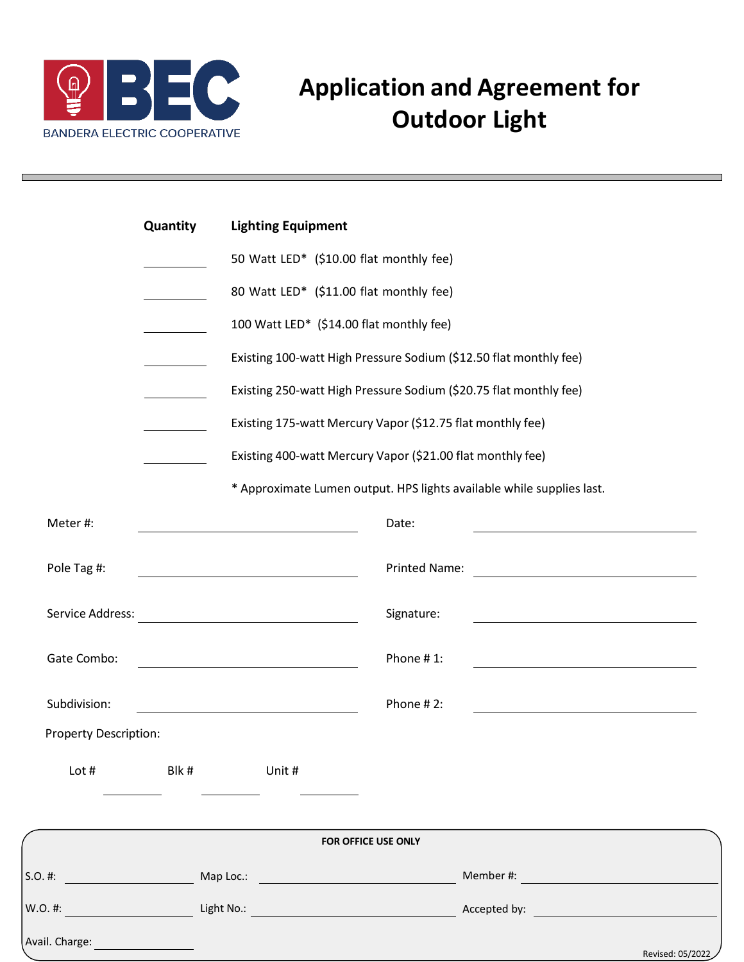

## **Application and Agreement for Outdoor Light**

|                              | Quantity                                                          | <b>Lighting Equipment</b><br>50 Watt LED* (\$10.00 flat monthly fee)<br>80 Watt LED* (\$11.00 flat monthly fee)<br>100 Watt LED* (\$14.00 flat monthly fee)<br>Existing 100-watt High Pressure Sodium (\$12.50 flat monthly fee) |                                                                            |  |
|------------------------------|-------------------------------------------------------------------|----------------------------------------------------------------------------------------------------------------------------------------------------------------------------------------------------------------------------------|----------------------------------------------------------------------------|--|
|                              |                                                                   |                                                                                                                                                                                                                                  |                                                                            |  |
|                              |                                                                   |                                                                                                                                                                                                                                  |                                                                            |  |
|                              |                                                                   |                                                                                                                                                                                                                                  |                                                                            |  |
|                              |                                                                   |                                                                                                                                                                                                                                  |                                                                            |  |
|                              | Existing 250-watt High Pressure Sodium (\$20.75 flat monthly fee) |                                                                                                                                                                                                                                  |                                                                            |  |
|                              |                                                                   | Existing 175-watt Mercury Vapor (\$12.75 flat monthly fee)<br>Existing 400-watt Mercury Vapor (\$21.00 flat monthly fee)                                                                                                         |                                                                            |  |
|                              |                                                                   |                                                                                                                                                                                                                                  |                                                                            |  |
|                              |                                                                   |                                                                                                                                                                                                                                  | * Approximate Lumen output. HPS lights available while supplies last.      |  |
| Meter#:                      |                                                                   |                                                                                                                                                                                                                                  | Date:<br><u> 1989 - Johann Barbara, martxa alemaniar a</u>                 |  |
| Pole Tag #:                  |                                                                   |                                                                                                                                                                                                                                  | <b>Printed Name:</b><br><u> 1980 - Johann Stoff, fransk politik (d. 19</u> |  |
| Service Address:             |                                                                   | <u> 1980 - Johann Barn, mars an t-Amerikaansk kommunister (</u>                                                                                                                                                                  | Signature:                                                                 |  |
| Gate Combo:                  |                                                                   | <u> 1980 - Johann Barbara, martx</u>                                                                                                                                                                                             | Phone #1:                                                                  |  |
| Subdivision:                 |                                                                   |                                                                                                                                                                                                                                  | Phone #2:                                                                  |  |
| <b>Property Description:</b> |                                                                   |                                                                                                                                                                                                                                  |                                                                            |  |
| Lot #                        |                                                                   | Blk # Unit #                                                                                                                                                                                                                     |                                                                            |  |
|                              |                                                                   |                                                                                                                                                                                                                                  | FOR OFFICE USE ONLY                                                        |  |
|                              |                                                                   |                                                                                                                                                                                                                                  |                                                                            |  |
|                              |                                                                   |                                                                                                                                                                                                                                  |                                                                            |  |
|                              |                                                                   |                                                                                                                                                                                                                                  | Revised: 05/2022                                                           |  |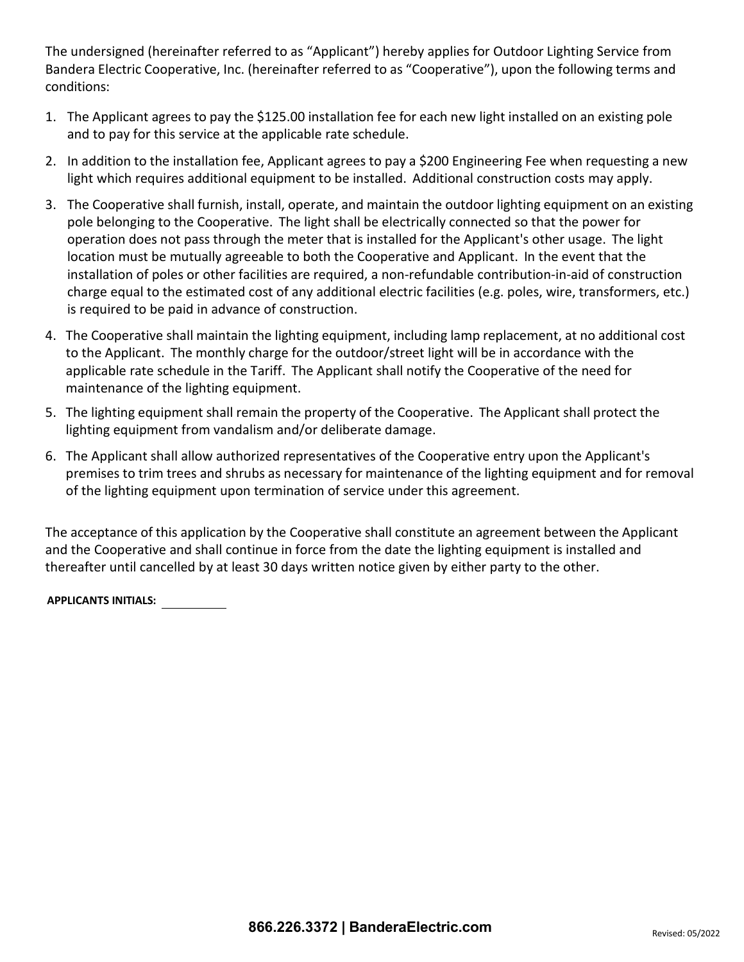The undersigned (hereinafter referred to as "Applicant") hereby applies for Outdoor Lighting Service from Bandera Electric Cooperative, Inc. (hereinafter referred to as "Cooperative"), upon the following terms and conditions:

- 1. The Applicant agrees to pay the \$125.00 installation fee for each new light installed on an existing pole and to pay for this service at the applicable rate schedule.
- 2. In addition to the installation fee, Applicant agrees to pay a \$200 Engineering Fee when requesting a new light which requires additional equipment to be installed. Additional construction costs may apply.
- 3. The Cooperative shall furnish, install, operate, and maintain the outdoor lighting equipment on an existing pole belonging to the Cooperative. The light shall be electrically connected so that the power for operation does not pass through the meter that is installed for the Applicant's other usage. The light location must be mutually agreeable to both the Cooperative and Applicant. In the event that the installation of poles or other facilities are required, a non-refundable contribution-in-aid of construction charge equal to the estimated cost of any additional electric facilities (e.g. poles, wire, transformers, etc.) is required to be paid in advance of construction.
- 4. The Cooperative shall maintain the lighting equipment, including lamp replacement, at no additional cost to the Applicant. The monthly charge for the outdoor/street light will be in accordance with the applicable rate schedule in the Tariff. The Applicant shall notify the Cooperative of the need for maintenance of the lighting equipment.
- 5. The lighting equipment shall remain the property of the Cooperative. The Applicant shall protect the lighting equipment from vandalism and/or deliberate damage.
- 6. The Applicant shall allow authorized representatives of the Cooperative entry upon the Applicant's premises to trim trees and shrubs as necessary for maintenance of the lighting equipment and for removal of the lighting equipment upon termination of service under this agreement.

The acceptance of this application by the Cooperative shall constitute an agreement between the Applicant and the Cooperative and shall continue in force from the date the lighting equipment is installed and thereafter until cancelled by at least 30 days written notice given by either party to the other.

**APPLICANTS INITIALS:**